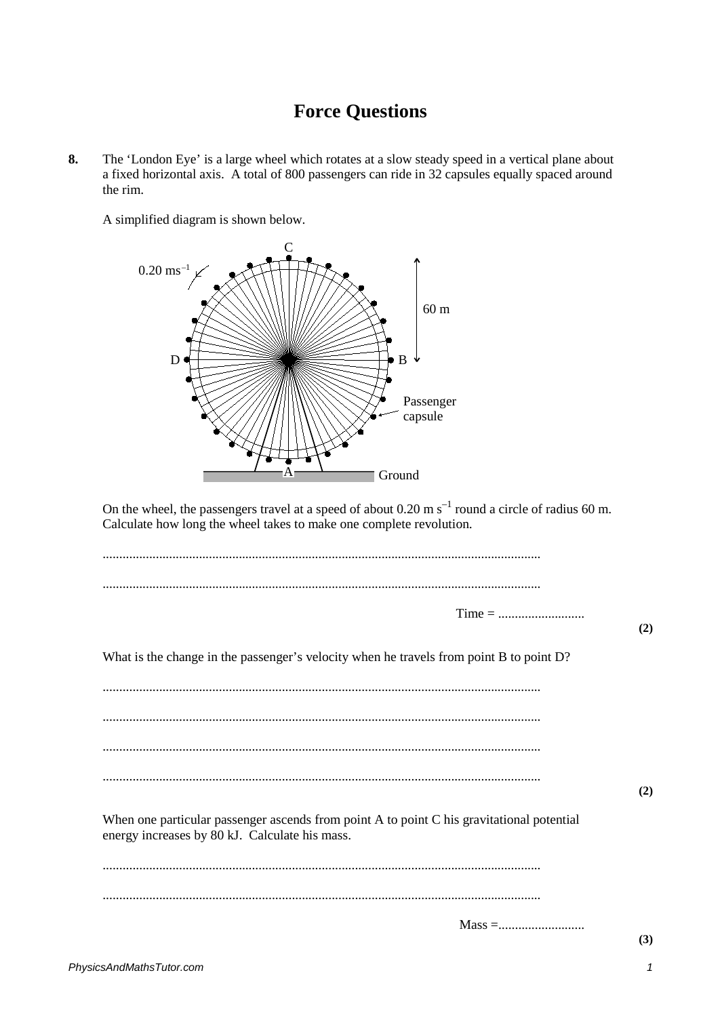## **Force Questions**

**8.** The 'London Eye' is a large wheel which rotates at a slow steady speed in a vertical plane about a fixed horizontal axis. A total of 800 passengers can ride in 32 capsules equally spaced around the rim.

A simplified diagram is shown below.



On the wheel, the passengers travel at a speed of about  $0.20 \text{ m s}^{-1}$  round a circle of radius 60 m. Calculate how long the wheel takes to make one complete revolution.

| $Time = 1$                                                                                                                                  | (2) |
|---------------------------------------------------------------------------------------------------------------------------------------------|-----|
| What is the change in the passenger's velocity when he travels from point B to point D?                                                     |     |
|                                                                                                                                             |     |
|                                                                                                                                             |     |
|                                                                                                                                             |     |
|                                                                                                                                             | (2) |
| When one particular passenger ascends from point A to point C his gravitational potential<br>energy increases by 80 kJ. Calculate his mass. |     |
|                                                                                                                                             |     |
|                                                                                                                                             |     |
|                                                                                                                                             | (3) |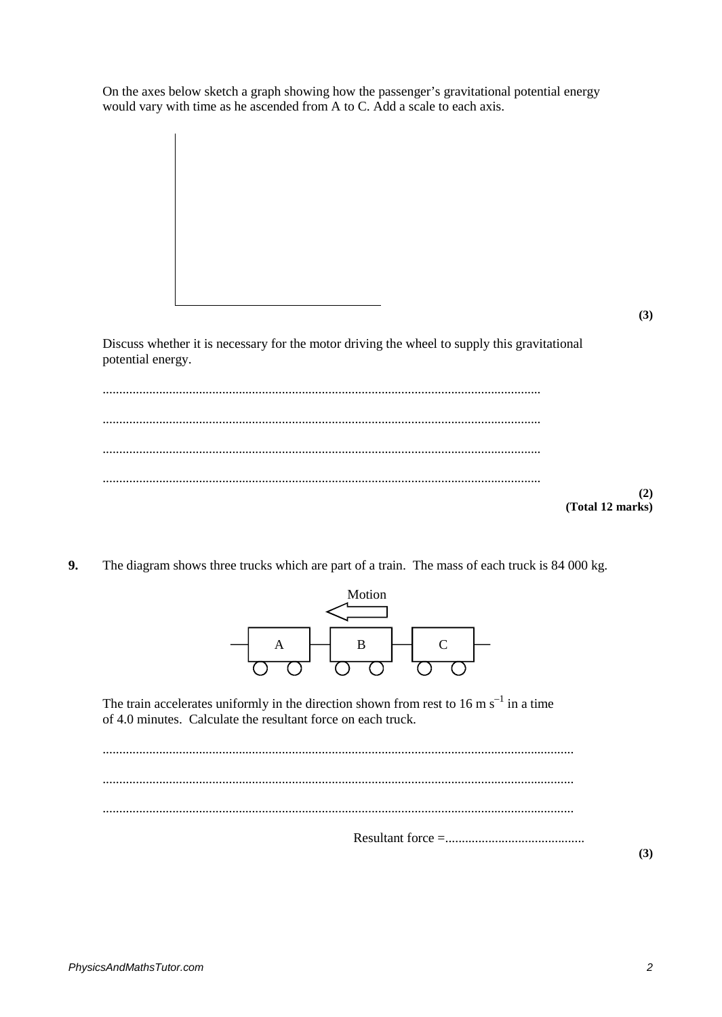On the axes below sketch a graph showing how the passenger's gravitational potential energy would vary with time as he ascended from A to C. Add a scale to each axis.

**(3)**

**(2)**

Discuss whether it is necessary for the motor driving the wheel to supply this gravitational potential energy.

.................................................................................................................................... .................................................................................................................................... .................................................................................................................................... .................................................................................................................................... **(Total 12 marks)**

**9.** The diagram shows three trucks which are part of a train. The mass of each truck is 84 000 kg.



The train accelerates uniformly in the direction shown from rest to 16 m  $s^{-1}$  in a time of 4.0 minutes. Calculate the resultant force on each truck.

.............................................................................................................................................. .............................................................................................................................................. .............................................................................................................................................. Resultant force =..........................................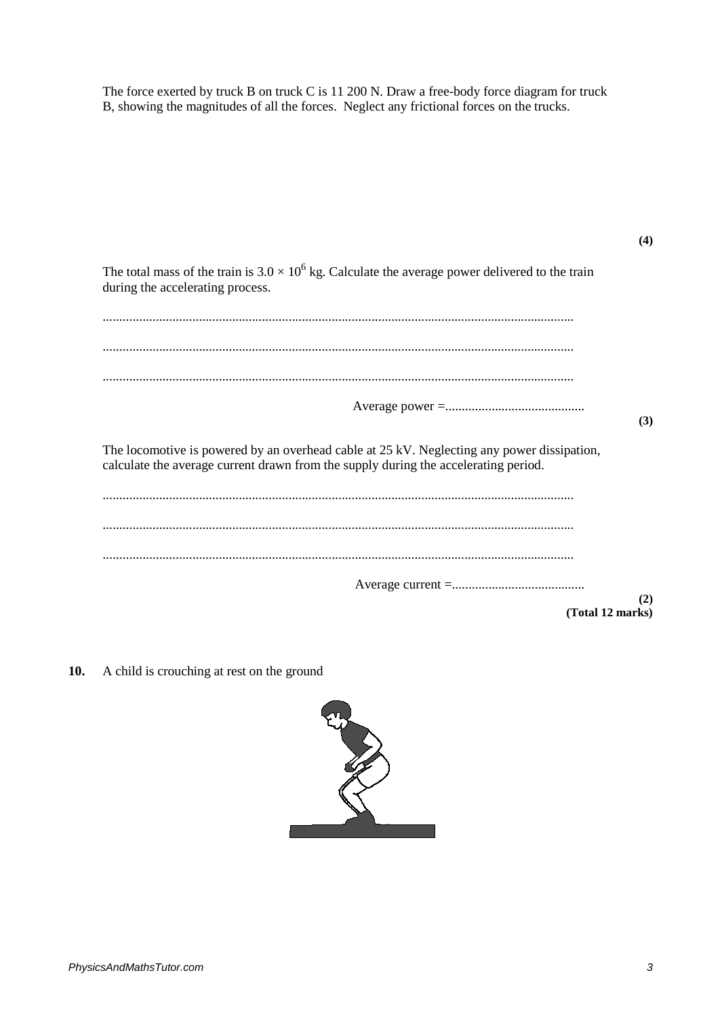The force exerted by truck B on truck C is 11 200 N. Draw a free-body force diagram for truck B, showing the magnitudes of all the forces. Neglect any frictional forces on the trucks.

| The total mass of the train is $3.0 \times 10^6$ kg. Calculate the average power delivered to the train<br>during the accelerating process.                                       |     |
|-----------------------------------------------------------------------------------------------------------------------------------------------------------------------------------|-----|
|                                                                                                                                                                                   |     |
|                                                                                                                                                                                   |     |
|                                                                                                                                                                                   |     |
|                                                                                                                                                                                   | (3) |
| The locomotive is powered by an overhead cable at 25 kV. Neglecting any power dissipation,<br>calculate the average current drawn from the supply during the accelerating period. |     |
|                                                                                                                                                                                   |     |
|                                                                                                                                                                                   |     |
|                                                                                                                                                                                   |     |
| (Total 12 marks)                                                                                                                                                                  | (2) |

**10.** A child is crouching at rest on the ground



**(4)**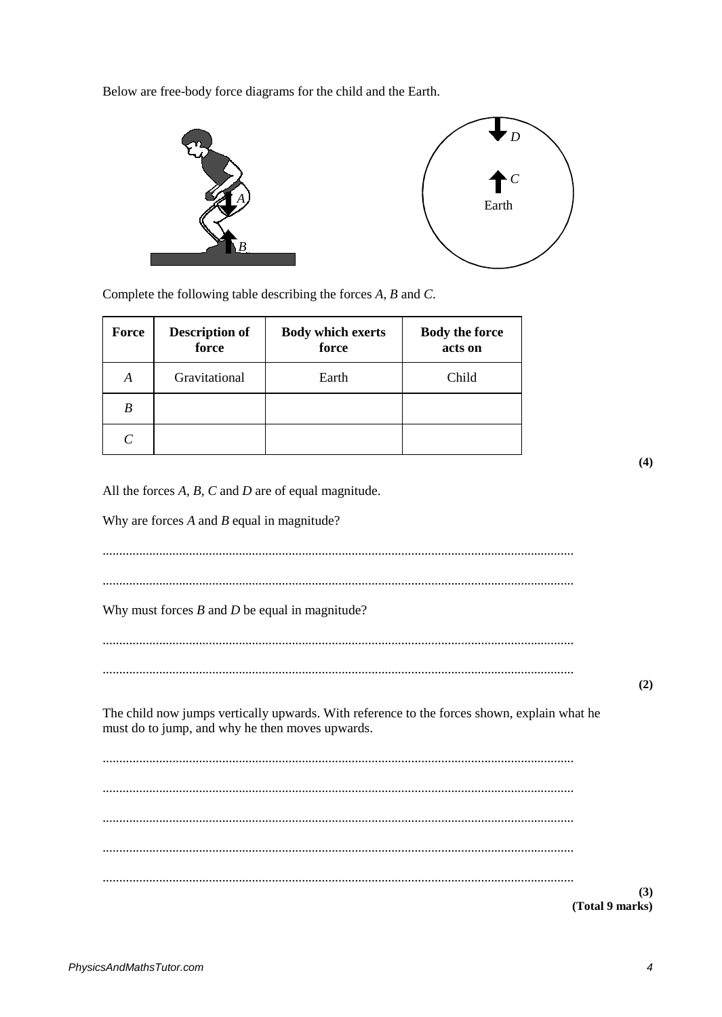Below are free-body force diagrams for the child and the Earth.



Complete the following table describing the forces  $A$ ,  $B$  and  $C$ .

| <b>Force</b> | <b>Description of</b><br>force | <b>Body which exerts</b><br>force | <b>Body the force</b><br>acts on |
|--------------|--------------------------------|-----------------------------------|----------------------------------|
| A            | Gravitational                  | Earth                             | Child                            |
| B            |                                |                                   |                                  |
|              |                                |                                   |                                  |

 $(4)$ 

 $(2)$ 

All the forces  $A$ ,  $B$ ,  $C$  and  $D$  are of equal magnitude.

Why are forces  $A$  and  $B$  equal in magnitude?

Why must forces  $B$  and  $D$  be equal in magnitude?

The child now jumps vertically upwards. With reference to the forces shown, explain what he must do to jump, and why he then moves upwards.

(Total 9 marks)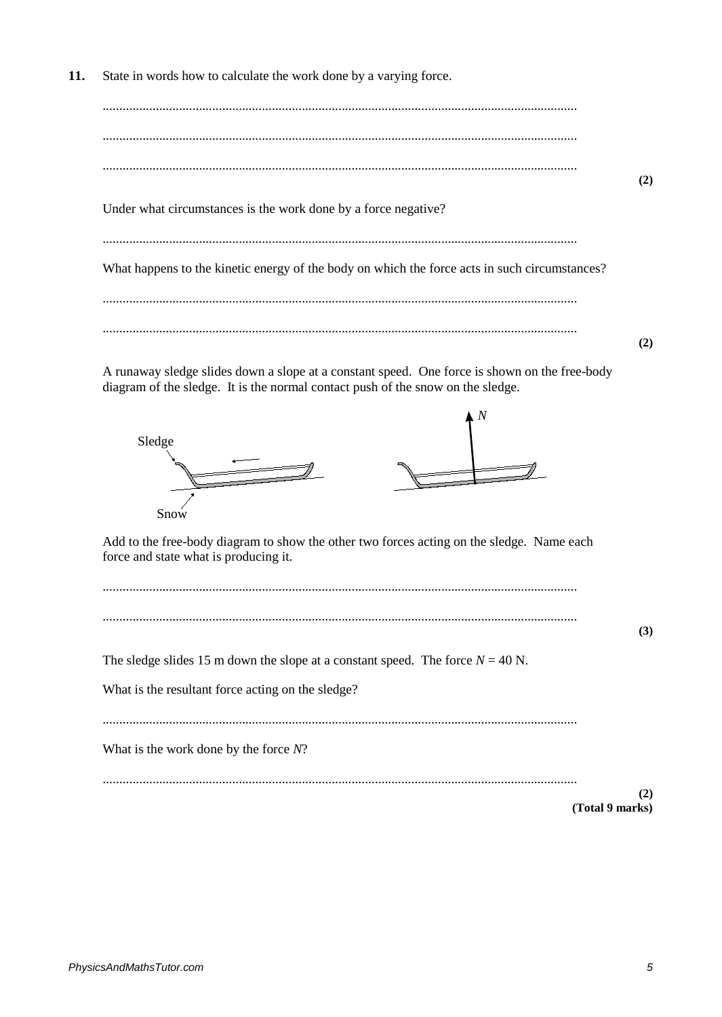$11.$ State in words how to calculate the work done by a varying force.

 $(2)$ Under what circumstances is the work done by a force negative? What happens to the kinetic energy of the body on which the force acts in such circumstances?  $(2)$ 

A runaway sledge slides down a slope at a constant speed. One force is shown on the free-body diagram of the sledge. It is the normal contact push of the snow on the sledge.



Add to the free-body diagram to show the other two forces acting on the sledge. Name each force and state what is producing it.

The sledge slides 15 m down the slope at a constant speed. The force  $N = 40$  N.

What is the resultant force acting on the sledge?

What is the work done by the force  $N$ ?

 $(2)$ (Total 9 marks)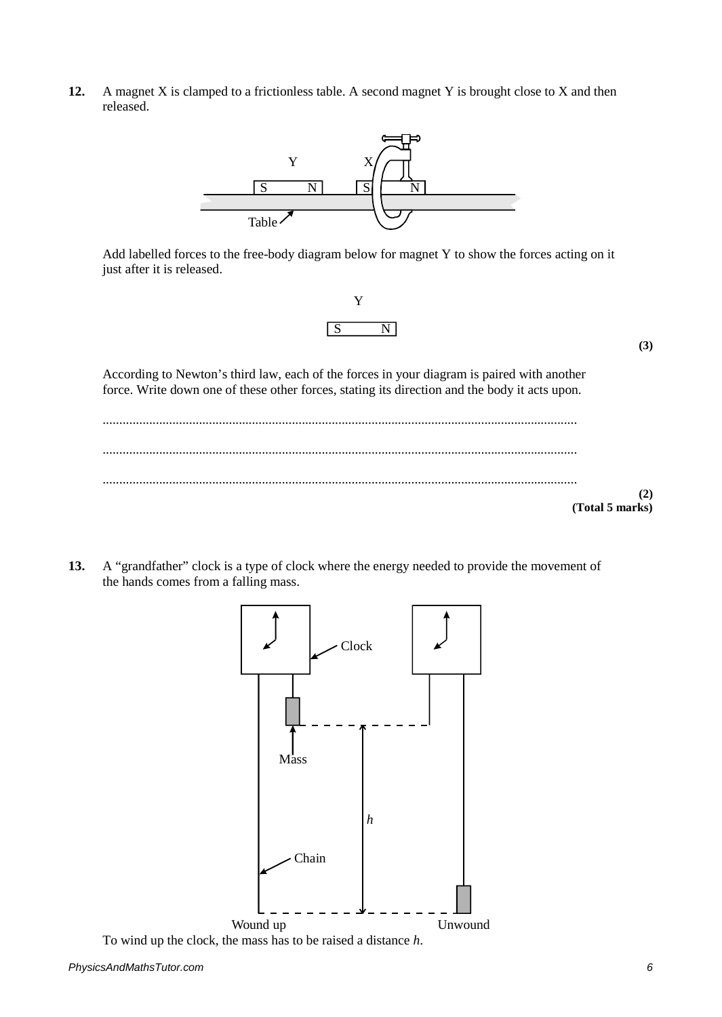**12.** A magnet X is clamped to a frictionless table. A second magnet Y is brought close to X and then released.



Add labelled forces to the free-body diagram below for magnet Y to show the forces acting on it just after it is released.



**(3)**

According to Newton's third law, each of the forces in your diagram is paired with another force. Write down one of these other forces, stating its direction and the body it acts upon.



**13.** A "grandfather" clock is a type of clock where the energy needed to provide the movement of the hands comes from a falling mass.

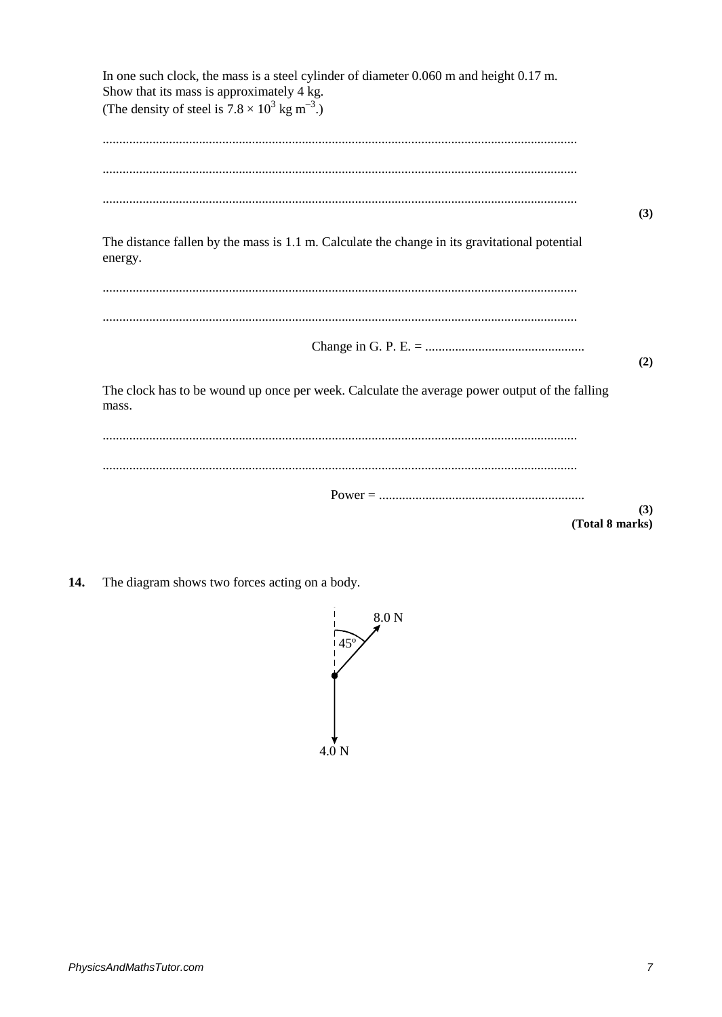| In one such clock, the mass is a steel cylinder of diameter 0.060 m and height 0.17 m.<br>Show that its mass is approximately 4 kg.<br>(The density of steel is $7.8 \times 10^3$ kg m <sup>-3</sup> .) |  |
|---------------------------------------------------------------------------------------------------------------------------------------------------------------------------------------------------------|--|
|                                                                                                                                                                                                         |  |
|                                                                                                                                                                                                         |  |
| (3)                                                                                                                                                                                                     |  |
| The distance fallen by the mass is 1.1 m. Calculate the change in its gravitational potential<br>energy.                                                                                                |  |
|                                                                                                                                                                                                         |  |
|                                                                                                                                                                                                         |  |
| (2)                                                                                                                                                                                                     |  |
| The clock has to be wound up once per week. Calculate the average power output of the falling<br>mass.                                                                                                  |  |
|                                                                                                                                                                                                         |  |
|                                                                                                                                                                                                         |  |
| (3)                                                                                                                                                                                                     |  |
| (Total 8 marks)                                                                                                                                                                                         |  |

The diagram shows two forces acting on a body. 14.

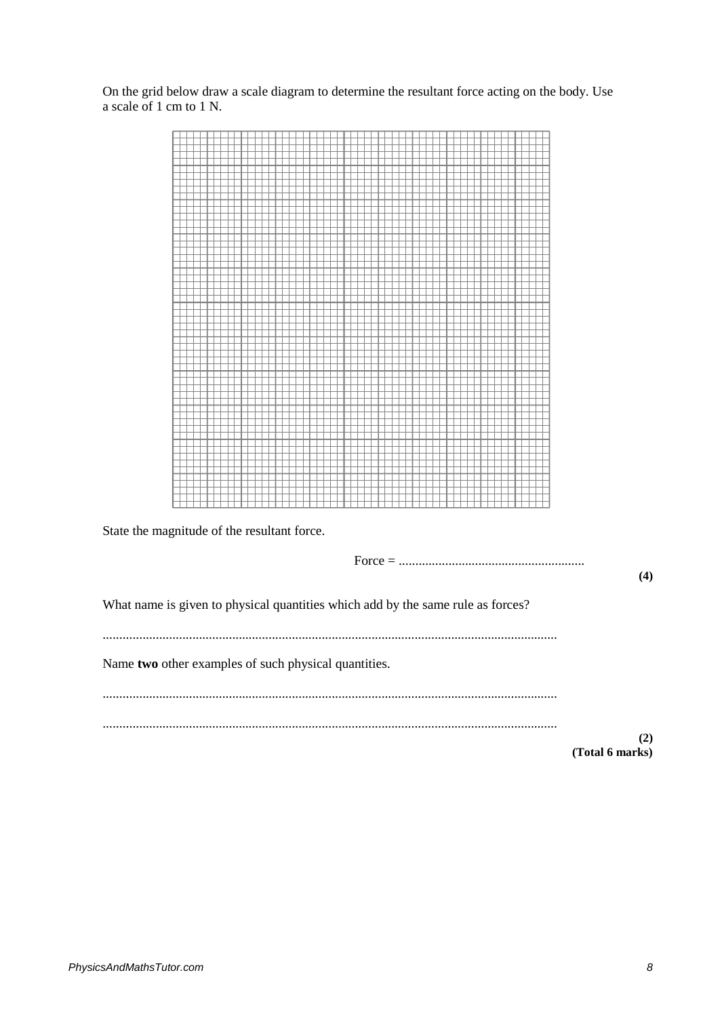On the grid below draw a scale diagram to determine the resultant force acting on the body. Use a scale of 1 cm to 1 N.



State the magnitude of the resultant force.

Force = ........................................................ **(4)** What name is given to physical quantities which add by the same rule as forces? ......................................................................................................................................... Name **two** other examples of such physical quantities. ......................................................................................................................................... ......................................................................................................................................... **(2) (Total 6 marks)**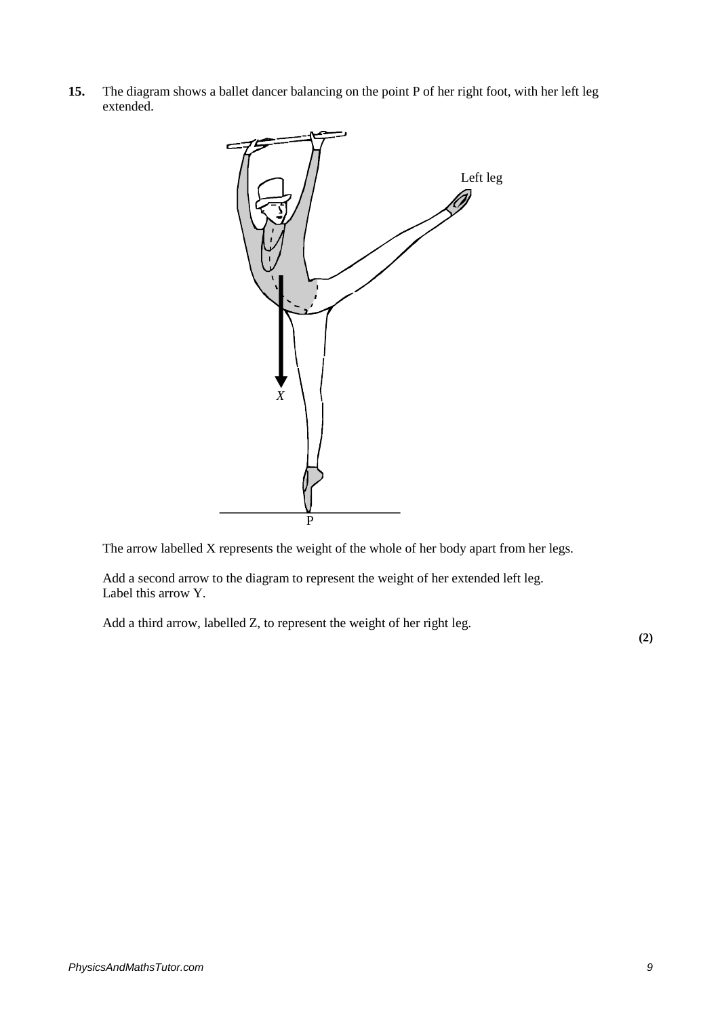**15.** The diagram shows a ballet dancer balancing on the point P of her right foot, with her left leg extended.



The arrow labelled X represents the weight of the whole of her body apart from her legs.

Add a second arrow to the diagram to represent the weight of her extended left leg. Label this arrow Y.

Add a third arrow, labelled Z, to represent the weight of her right leg.

**(2)**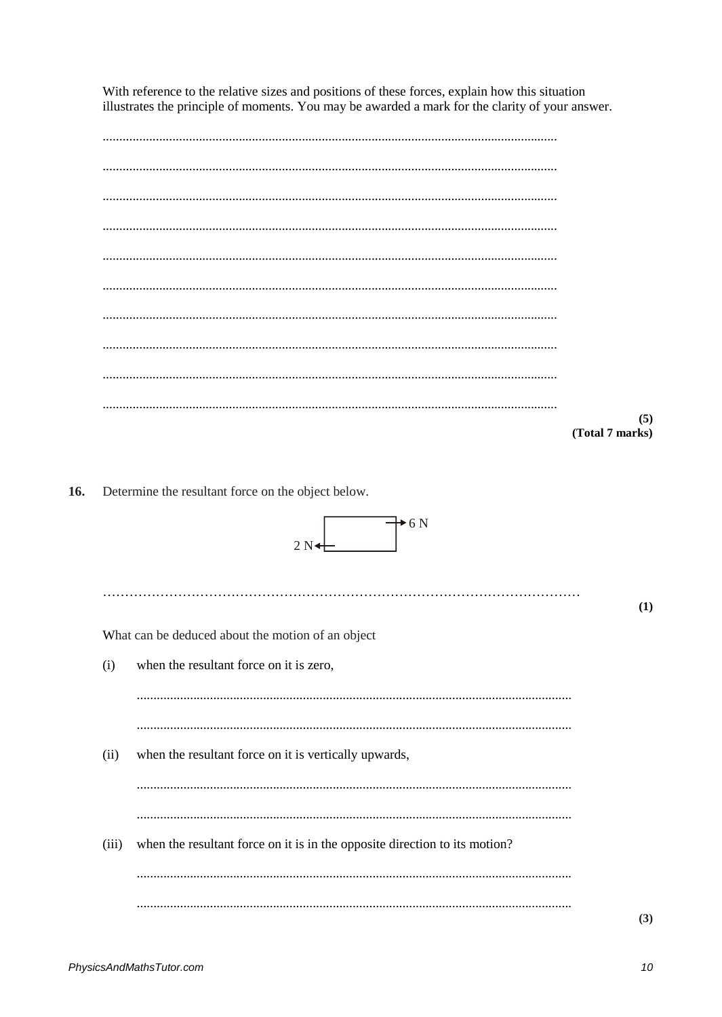With reference to the relative sizes and positions of these forces, explain how this situation illustrates the principle of moments. You may be awarded a mark for the clarity of your answer.

 $(5)$ (Total 7 marks)

Determine the resultant force on the object below. 16.

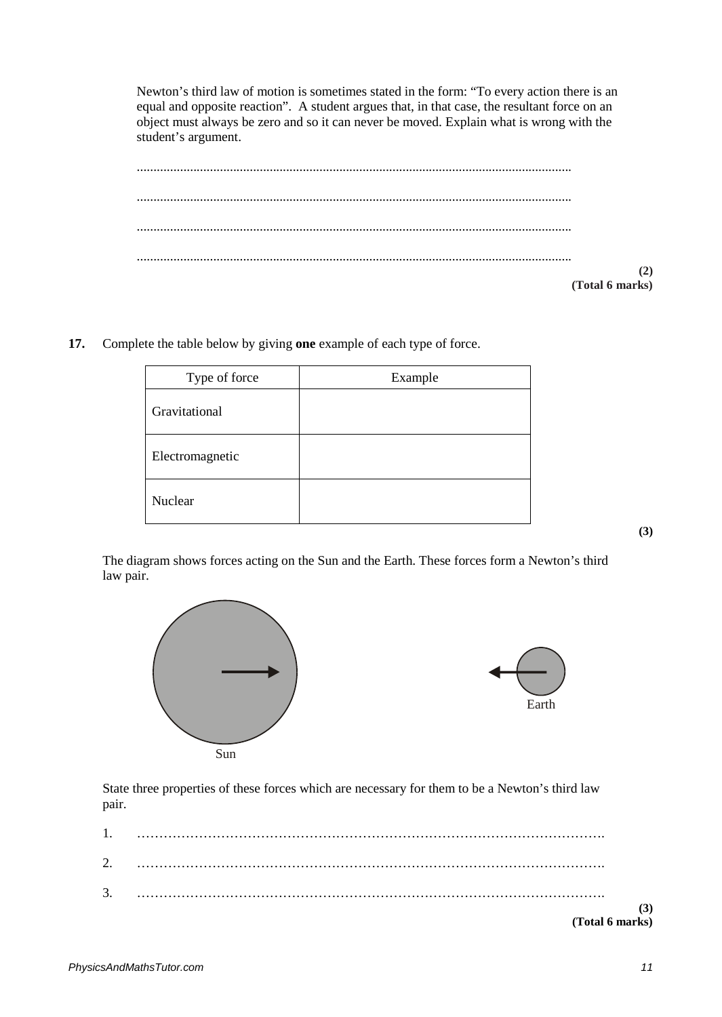Newton's third law of motion is sometimes stated in the form: "To every action there is an equal and opposite reaction". A student argues that, in that case, the resultant force on an object must always be zero and so it can never be moved. Explain what is wrong with the student's argument.

| (2)             |
|-----------------|
| (Total 6 marks) |

**17.** Complete the table below by giving **one** example of each type of force.

| Type of force   | Example |
|-----------------|---------|
| Gravitational   |         |
| Electromagnetic |         |
| Nuclear         |         |

The diagram shows forces acting on the Sun and the Earth. These forces form a Newton's third law pair.





State three properties of these forces which are necessary for them to be a Newton's third law pair.

|                      | (Total 6 marks) |     |
|----------------------|-----------------|-----|
|                      |                 | (3) |
| $\mathcal{R}$<br>J.  |                 |     |
| $\gamma$<br><u>.</u> |                 |     |
| 1.                   |                 |     |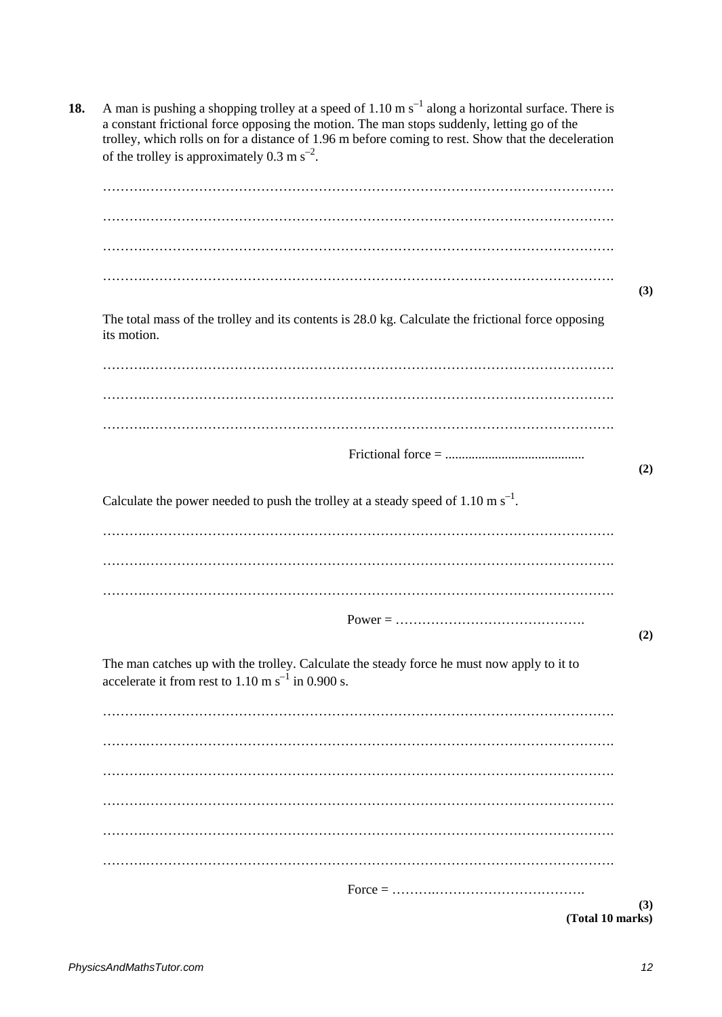|             | of the trolley is approximately 0.3 m $s^{-2}$ .                                                                                                             |
|-------------|--------------------------------------------------------------------------------------------------------------------------------------------------------------|
|             |                                                                                                                                                              |
|             |                                                                                                                                                              |
|             |                                                                                                                                                              |
|             |                                                                                                                                                              |
| its motion. | The total mass of the trolley and its contents is 28.0 kg. Calculate the frictional force opposing                                                           |
|             |                                                                                                                                                              |
|             |                                                                                                                                                              |
|             |                                                                                                                                                              |
|             |                                                                                                                                                              |
|             |                                                                                                                                                              |
|             |                                                                                                                                                              |
|             |                                                                                                                                                              |
|             | The man catches up with the trolley. Calculate the steady force he must now apply to it to<br>accelerate it from rest to $1.10 \text{ m s}^{-1}$ in 0.900 s. |
|             |                                                                                                                                                              |
|             |                                                                                                                                                              |
|             |                                                                                                                                                              |
|             |                                                                                                                                                              |
|             |                                                                                                                                                              |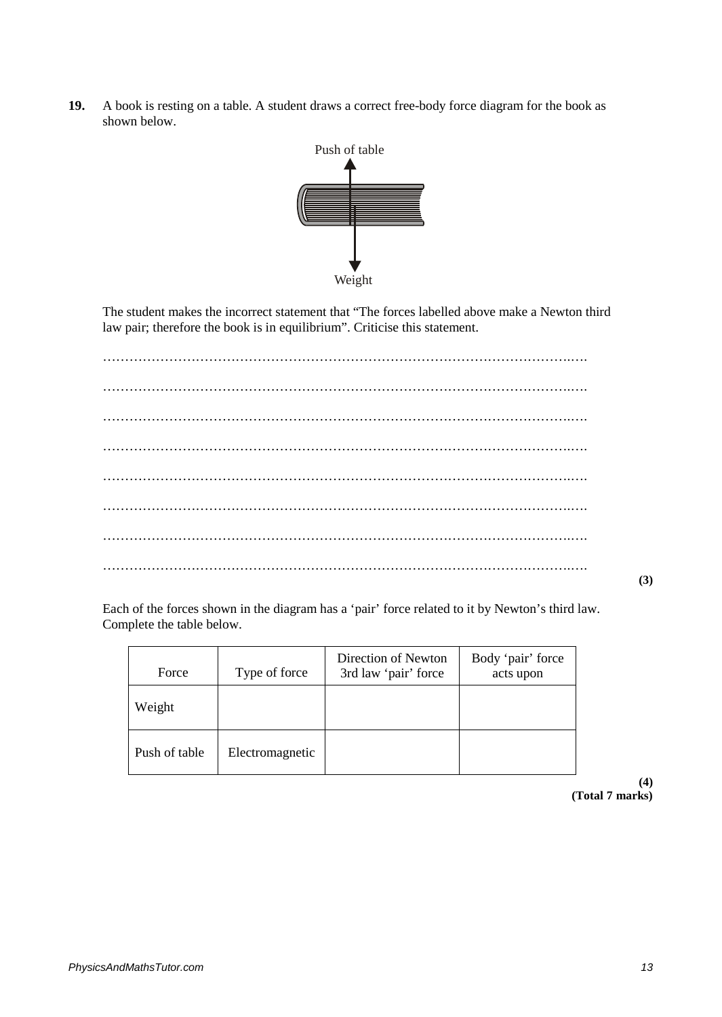**19.** A book is resting on a table. A student draws a correct free-body force diagram for the book as shown below.



The student makes the incorrect statement that "The forces labelled above make a Newton third law pair; therefore the book is in equilibrium". Criticise this statement.

…………………………………………………………………………………………….…. …………………………………………………………………………………………….…. …………………………………………………………………………………………….…. …………………………………………………………………………………………….…. …………………………………………………………………………………………….…. …………………………………………………………………………………………….…. …………………………………………………………………………………………….…. …………………………………………………………………………………………….….

**(3)**

Each of the forces shown in the diagram has a 'pair' force related to it by Newton's third law. Complete the table below.

| Force         | Type of force   | Direction of Newton<br>3rd law 'pair' force | Body 'pair' force<br>acts upon |
|---------------|-----------------|---------------------------------------------|--------------------------------|
| Weight        |                 |                                             |                                |
| Push of table | Electromagnetic |                                             |                                |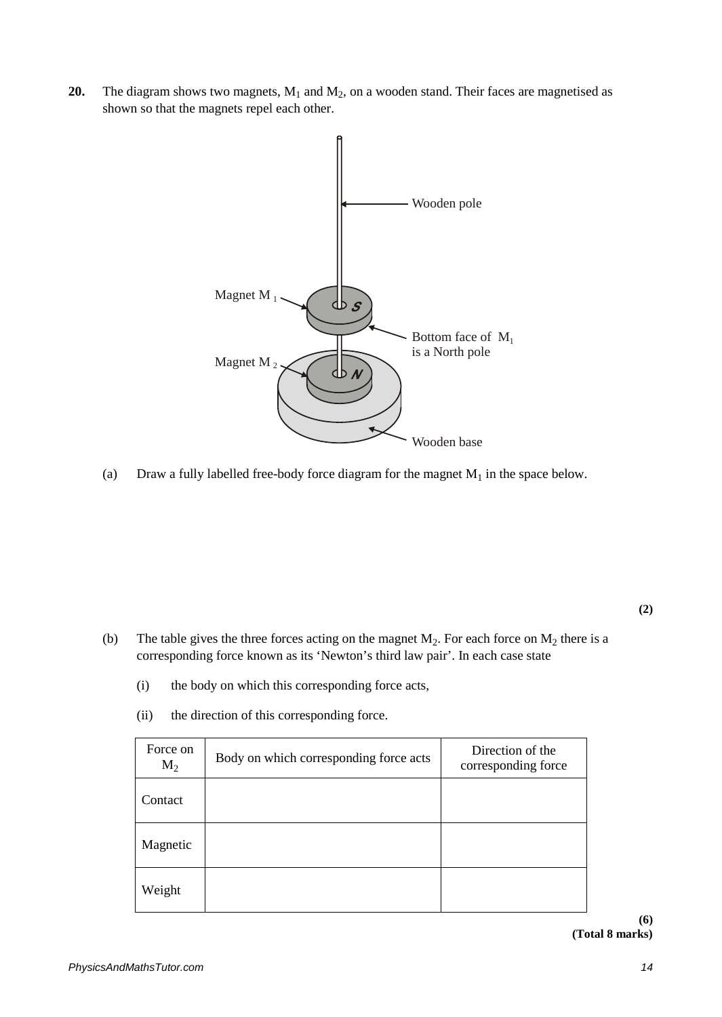**20.** The diagram shows two magnets,  $M_1$  and  $M_2$ , on a wooden stand. Their faces are magnetised as shown so that the magnets repel each other.



(a) Draw a fully labelled free-body force diagram for the magnet  $M_1$  in the space below.

**(2)**

- (b) The table gives the three forces acting on the magnet  $M_2$ . For each force on  $M_2$  there is a corresponding force known as its 'Newton's third law pair'. In each case state
	- (i) the body on which this corresponding force acts,
	- Force on  $M_2$  Body on which corresponding force acts Direction of the corresponding force corresponding force **Contact** Magnetic Weight
	- (ii) the direction of this corresponding force.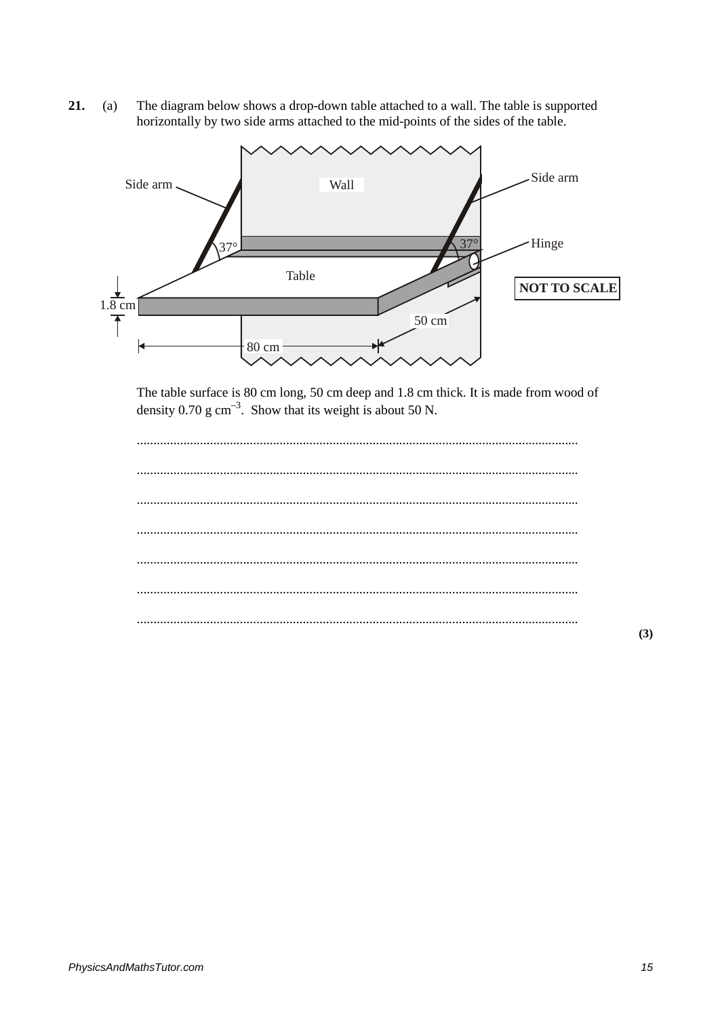The diagram below shows a drop-down table attached to a wall. The table is supported 21.  $(a)$ horizontally by two side arms attached to the mid-points of the sides of the table.



The table surface is 80 cm long, 50 cm deep and 1.8 cm thick. It is made from wood of density  $0.70$  g cm<sup>-3</sup>. Show that its weight is about 50 N.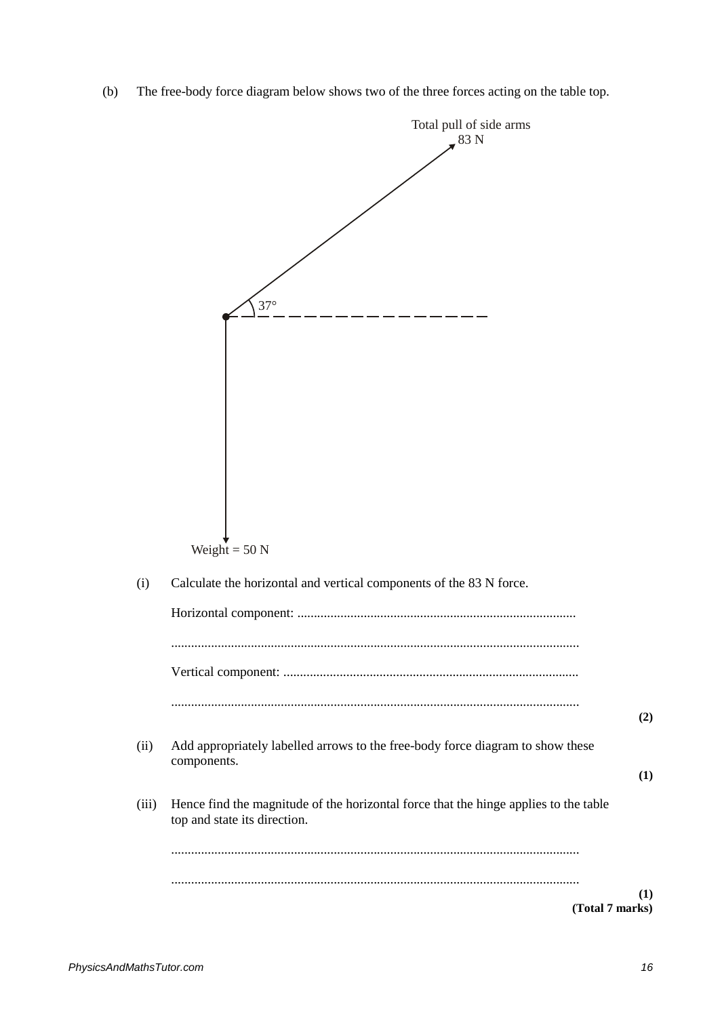(b) The free-body force diagram below shows two of the three forces acting on the table top.

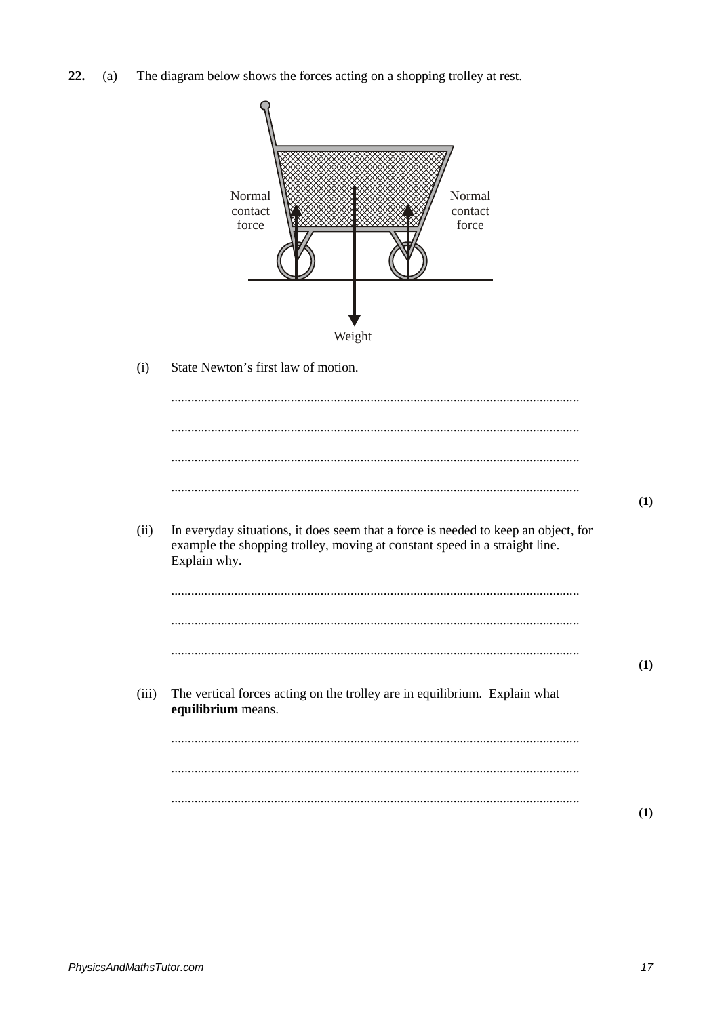- $22.$ The diagram below shows the forces acting on a shopping trolley at rest.  $(a)$ 
	- Normal Normal contact contact force force Weight  $(i)$ State Newton's first law of motion.  $\cdots$  $(1)$  $(ii)$ In everyday situations, it does seem that a force is needed to keep an object, for example the shopping trolley, moving at constant speed in a straight line. Explain why.  $(1)$  $(iii)$ The vertical forces acting on the trolley are in equilibrium. Explain what equilibrium means.  $(1)$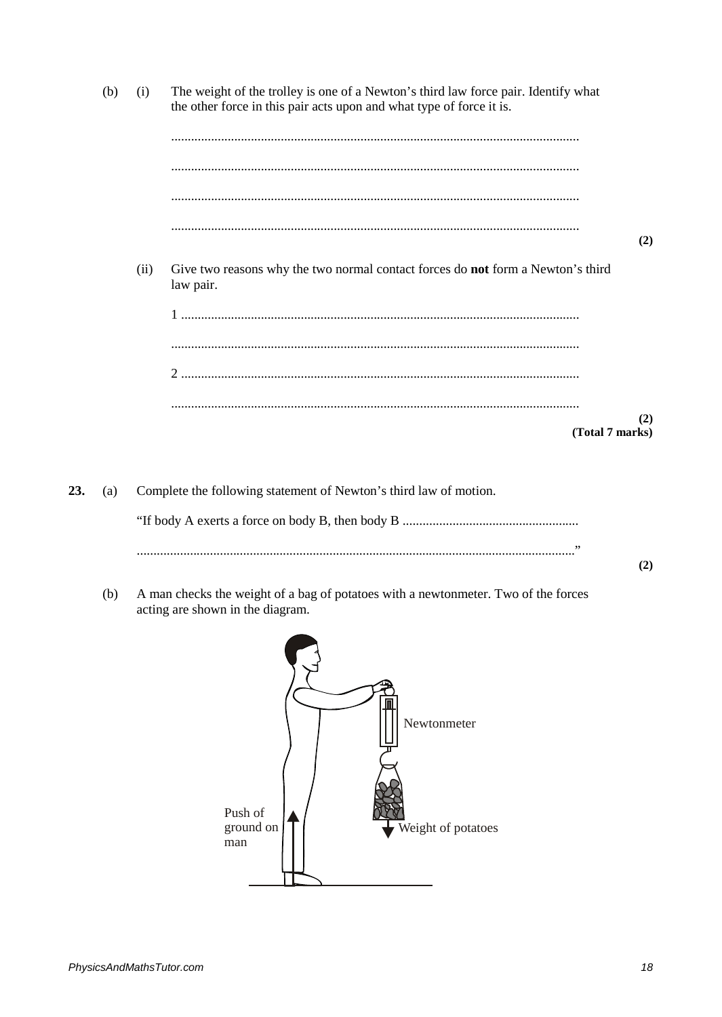The weight of the trolley is one of a Newton's third law force pair. Identify what  $(b)$  $(i)$ the other force in this pair acts upon and what type of force it is.  $(2)$  $(ii)$ Give two reasons why the two normal contact forces do **not** form a Newton's third law pair.  $(2)$ (Total 7 marks)

23. Complete the following statement of Newton's third law of motion.  $(a)$ 

 $(b)$ A man checks the weight of a bag of potatoes with a newtonmeter. Two of the forces acting are shown in the diagram.



 $(2)$